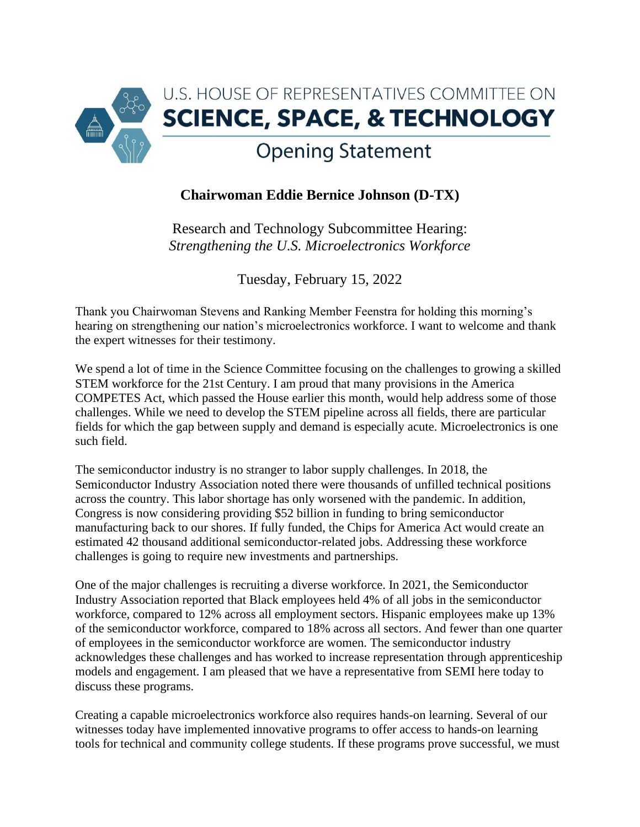

## **Chairwoman Eddie Bernice Johnson (D-TX)**

Research and Technology Subcommittee Hearing: *Strengthening the U.S. Microelectronics Workforce*

Tuesday, February 15, 2022

Thank you Chairwoman Stevens and Ranking Member Feenstra for holding this morning's hearing on strengthening our nation's microelectronics workforce. I want to welcome and thank the expert witnesses for their testimony.

We spend a lot of time in the Science Committee focusing on the challenges to growing a skilled STEM workforce for the 21st Century. I am proud that many provisions in the America COMPETES Act, which passed the House earlier this month, would help address some of those challenges. While we need to develop the STEM pipeline across all fields, there are particular fields for which the gap between supply and demand is especially acute. Microelectronics is one such field.

The semiconductor industry is no stranger to labor supply challenges. In 2018, the Semiconductor Industry Association noted there were thousands of unfilled technical positions across the country. This labor shortage has only worsened with the pandemic. In addition, Congress is now considering providing \$52 billion in funding to bring semiconductor manufacturing back to our shores. If fully funded, the Chips for America Act would create an estimated 42 thousand additional semiconductor-related jobs. Addressing these workforce challenges is going to require new investments and partnerships.

One of the major challenges is recruiting a diverse workforce. In 2021, the Semiconductor Industry Association reported that Black employees held 4% of all jobs in the semiconductor workforce, compared to 12% across all employment sectors. Hispanic employees make up 13% of the semiconductor workforce, compared to 18% across all sectors. And fewer than one quarter of employees in the semiconductor workforce are women. The semiconductor industry acknowledges these challenges and has worked to increase representation through apprenticeship models and engagement. I am pleased that we have a representative from SEMI here today to discuss these programs.

Creating a capable microelectronics workforce also requires hands-on learning. Several of our witnesses today have implemented innovative programs to offer access to hands-on learning tools for technical and community college students. If these programs prove successful, we must